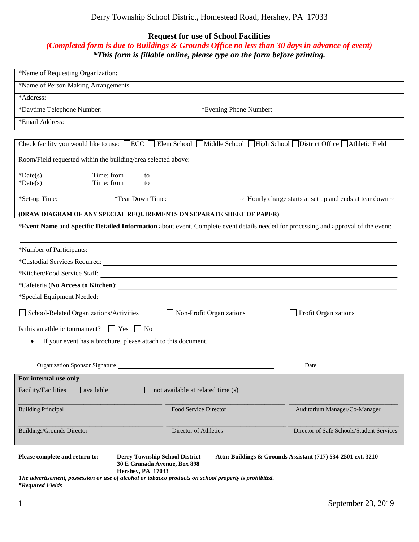## Derry Township School District, Homestead Road, Hershey, PA 17033

## **Request for use of School Facilities**

## *(Completed form is due to Buildings & Grounds Office no less than 30 days in advance of event) \*This form is fillable online, please type on the form before printing.*

| *Name of Requesting Organization:                                                                                                                                       |                                                                                                                       |                                                                    |  |
|-------------------------------------------------------------------------------------------------------------------------------------------------------------------------|-----------------------------------------------------------------------------------------------------------------------|--------------------------------------------------------------------|--|
| *Name of Person Making Arrangements                                                                                                                                     |                                                                                                                       |                                                                    |  |
| *Address:                                                                                                                                                               |                                                                                                                       |                                                                    |  |
| *Daytime Telephone Number:                                                                                                                                              | *Evening Phone Number:                                                                                                |                                                                    |  |
| *Email Address:                                                                                                                                                         |                                                                                                                       |                                                                    |  |
|                                                                                                                                                                         |                                                                                                                       |                                                                    |  |
| Check facility you would like to use: $\Box$ ECC $\Box$ Elem School $\Box$ Middle School $\Box$ High School $\Box$ District Office $\Box$ Athletic Field                |                                                                                                                       |                                                                    |  |
| Room/Field requested within the building/area selected above:                                                                                                           |                                                                                                                       |                                                                    |  |
| *Date(s) $\_\_\_\_\_\_\_\_\$<br>Time: from _______ to ______<br>Time: from ______ to ______<br>*Date(s) $\_\_\_\_\_\_\_\_\_\$                                           |                                                                                                                       |                                                                    |  |
|                                                                                                                                                                         |                                                                                                                       |                                                                    |  |
| *Set-up Time:<br>*Tear Down Time:                                                                                                                                       |                                                                                                                       | $\sim$ Hourly charge starts at set up and ends at tear down $\sim$ |  |
| (DRAW DIAGRAM OF ANY SPECIAL REQUIREMENTS ON SEPARATE SHEET OF PAPER)                                                                                                   |                                                                                                                       |                                                                    |  |
| *Event Name and Specific Detailed Information about event. Complete event details needed for processing and approval of the event:                                      |                                                                                                                       |                                                                    |  |
|                                                                                                                                                                         |                                                                                                                       |                                                                    |  |
| *Number of Participants:                                                                                                                                                | <u> 1989 - Andrea Station Barbara, actor a component de la componentación de la componentación de la componentaci</u> |                                                                    |  |
| *Custodial Services Required: Manual Services Required:                                                                                                                 |                                                                                                                       |                                                                    |  |
|                                                                                                                                                                         |                                                                                                                       |                                                                    |  |
|                                                                                                                                                                         |                                                                                                                       |                                                                    |  |
|                                                                                                                                                                         |                                                                                                                       |                                                                    |  |
| School-Related Organizations/Activities                                                                                                                                 | $\Box$ Non-Profit Organizations                                                                                       | Profit Organizations                                               |  |
| Is this an athletic tournament? $\Box$ Yes $\Box$ No                                                                                                                    |                                                                                                                       |                                                                    |  |
| If your event has a brochure, please attach to this document.<br>٠                                                                                                      |                                                                                                                       |                                                                    |  |
|                                                                                                                                                                         |                                                                                                                       |                                                                    |  |
| Organization Sponsor Signature                                                                                                                                          |                                                                                                                       | Date                                                               |  |
| For internal use only                                                                                                                                                   |                                                                                                                       |                                                                    |  |
| Facility/Facilities<br>available                                                                                                                                        | not available at related time (s)                                                                                     |                                                                    |  |
| <b>Building Principal</b>                                                                                                                                               | Food Service Director                                                                                                 | Auditorium Manager/Co-Manager                                      |  |
| <b>Buildings/Grounds Director</b>                                                                                                                                       | Director of Athletics                                                                                                 | Director of Safe Schools/Student Services                          |  |
| Please complete and return to:<br><b>Derry Township School District</b><br>Attn: Buildings & Grounds Assistant (717) 534-2501 ext. 3210<br>30 E Granada Avenue, Box 898 |                                                                                                                       |                                                                    |  |
| Hershey, PA 17033<br>The advertisement, possession or use of alcohol or tobacco products on school property is prohibited.                                              |                                                                                                                       |                                                                    |  |